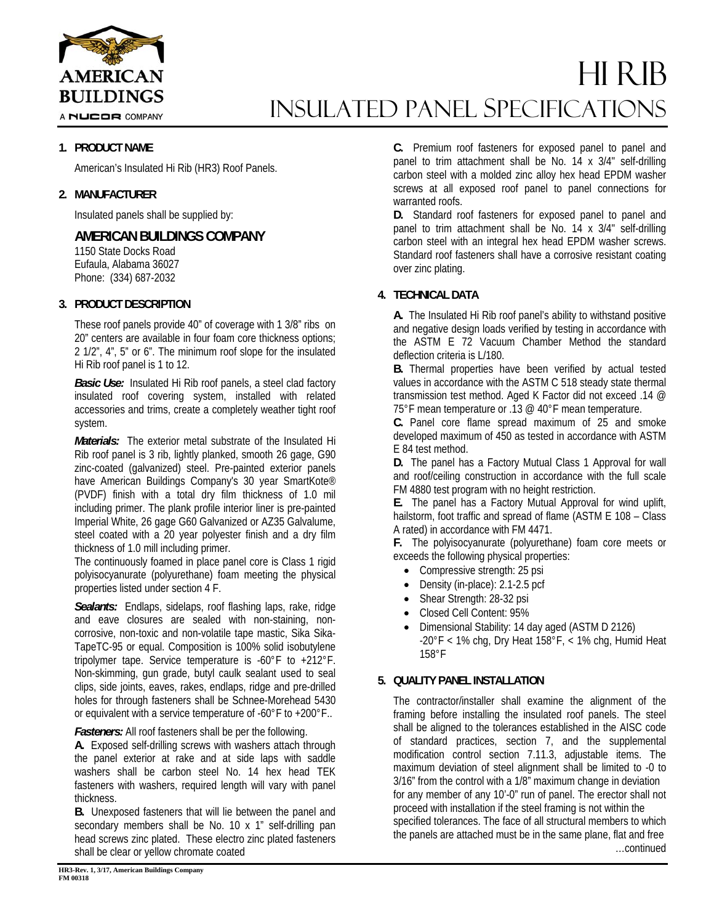

A NUCOR COMPANY

# HI RIB INSULATED Panel Specifications

### **1. PRODUCT NAME**

American's Insulated Hi Rib (HR3) Roof Panels.

### **2. MANUFACTURER**

Insulated panels shall be supplied by:

# **AMERICAN BUILDINGS COMPANY**

1150 State Docks Road Eufaula, Alabama 36027 Phone: (334) 687-2032

## **3. PRODUCT DESCRIPTION**

These roof panels provide 40" of coverage with 1 3/8" ribs on 20" centers are available in four foam core thickness options; 2 1/2", 4", 5" or 6". The minimum roof slope for the insulated Hi Rib roof panel is 1 to 12.

*Basic Use:* Insulated Hi Rib roof panels, a steel clad factory insulated roof covering system, installed with related accessories and trims, create a completely weather tight roof system.

*Materials:* The exterior metal substrate of the Insulated Hi Rib roof panel is 3 rib, lightly planked, smooth 26 gage, G90 zinc-coated (galvanized) steel. Pre-painted exterior panels have American Buildings Company's 30 year SmartKote® (PVDF) finish with a total dry film thickness of 1.0 mil including primer. The plank profile interior liner is pre-painted Imperial White, 26 gage G60 Galvanized or AZ35 Galvalume, steel coated with a 20 year polyester finish and a dry film thickness of 1.0 mill including primer.

The continuously foamed in place panel core is Class 1 rigid polyisocyanurate (polyurethane) foam meeting the physical properties listed under section 4 F.

*Sealants:* Endlaps, sidelaps, roof flashing laps, rake, ridge and eave closures are sealed with non-staining, noncorrosive, non-toxic and non-volatile tape mastic, Sika Sika-TapeTC-95 or equal. Composition is 100% solid isobutylene tripolymer tape. Service temperature is -60°F to +212°F. Non-skimming, gun grade, butyl caulk sealant used to seal clips, side joints, eaves, rakes, endlaps, ridge and pre-drilled holes for through fasteners shall be Schnee-Morehead 5430 or equivalent with a service temperature of -60°F to +200°F..

*Fasteners:* All roof fasteners shall be per the following.

**A.** Exposed self-drilling screws with washers attach through the panel exterior at rake and at side laps with saddle washers shall be carbon steel No. 14 hex head TEK fasteners with washers, required length will vary with panel thickness.

**B.** Unexposed fasteners that will lie between the panel and secondary members shall be No. 10 x 1" self-drilling pan head screws zinc plated. These electro zinc plated fasteners shall be clear or yellow chromate coated

**HR3-Rev. 1, 3/17, American Buildings Company FM 00318** 

**C.** Premium roof fasteners for exposed panel to panel and panel to trim attachment shall be No. 14 x 3/4" self-drilling carbon steel with a molded zinc alloy hex head EPDM washer screws at all exposed roof panel to panel connections for warranted roofs.

**D.** Standard roof fasteners for exposed panel to panel and panel to trim attachment shall be No. 14 x 3/4" self-drilling carbon steel with an integral hex head EPDM washer screws. Standard roof fasteners shall have a corrosive resistant coating over zinc plating.

## **4. TECHNICAL DATA**

**A.** The Insulated Hi Rib roof panel's ability to withstand positive and negative design loads verified by testing in accordance with the ASTM E 72 Vacuum Chamber Method the standard deflection criteria is L/180.

**B.** Thermal properties have been verified by actual tested values in accordance with the ASTM C 518 steady state thermal transmission test method. Aged K Factor did not exceed .14 @ 75°F mean temperature or .13 @ 40°F mean temperature.

**C.** Panel core flame spread maximum of 25 and smoke developed maximum of 450 as tested in accordance with ASTM E 84 test method.

**D.** The panel has a Factory Mutual Class 1 Approval for wall and roof/ceiling construction in accordance with the full scale FM 4880 test program with no height restriction.

**E.** The panel has a Factory Mutual Approval for wind uplift, hailstorm, foot traffic and spread of flame (ASTM E 108 – Class A rated) in accordance with FM 4471.

**F.** The polyisocyanurate (polyurethane) foam core meets or exceeds the following physical properties:

- Compressive strength: 25 psi
- Density (in-place): 2.1-2.5 pcf
- Shear Strength: 28-32 psi
- Closed Cell Content: 95%
- Dimensional Stability: 14 day aged (ASTM D 2126)  $-20^{\circ}$ F < 1% chg, Dry Heat 158°F, < 1% chg, Humid Heat 158°F

#### **5. QUALITY PANEL INSTALLATION**

The contractor/installer shall examine the alignment of the framing before installing the insulated roof panels. The steel shall be aligned to the tolerances established in the AISC code of standard practices, section 7, and the supplemental modification control section 7.11.3, adjustable items. The maximum deviation of steel alignment shall be limited to -0 to 3/16" from the control with a 1/8" maximum change in deviation for any member of any 10'-0" run of panel. The erector shall not proceed with installation if the steel framing is not within the specified tolerances. The face of all structural members to which the panels are attached must be in the same plane, flat and free …continued